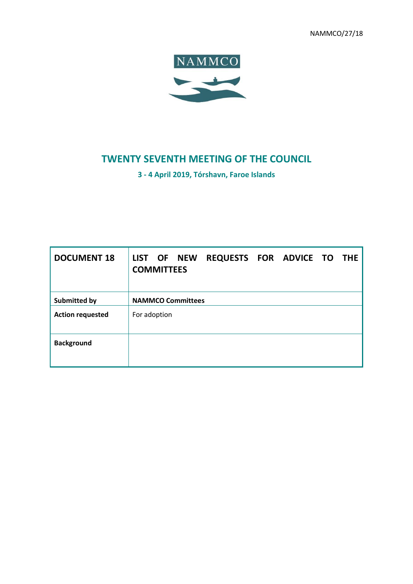NAMMCO/27/18



# **TWENTY SEVENTH MEETING OF THE COUNCIL**

**3 - 4 April 2019, Tórshavn, Faroe Islands**

| <b>DOCUMENT 18</b>      | REQUESTS FOR ADVICE TO<br>LIST OF NEW<br><b>THE</b><br><b>COMMITTEES</b> |
|-------------------------|--------------------------------------------------------------------------|
| Submitted by            | <b>NAMMCO Committees</b>                                                 |
| <b>Action requested</b> | For adoption                                                             |
| <b>Background</b>       |                                                                          |